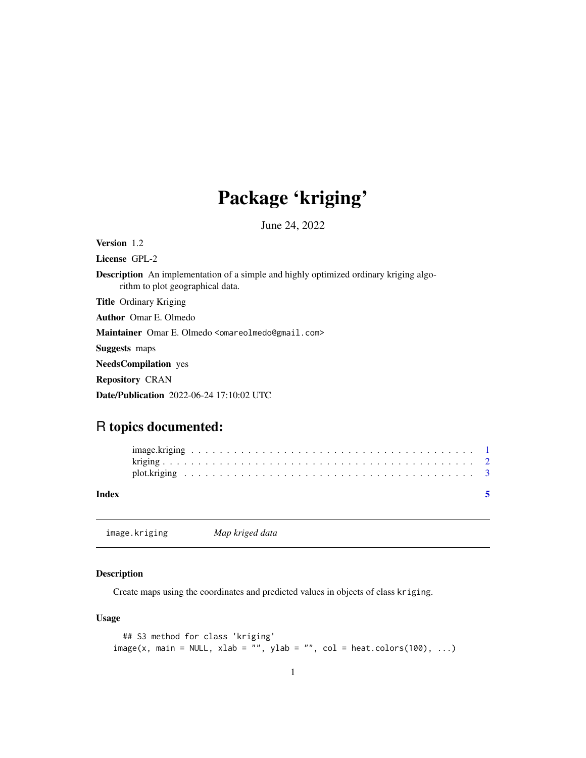# Package 'kriging'

June 24, 2022

<span id="page-0-1"></span><span id="page-0-0"></span>Version 1.2

License GPL-2

Description An implementation of a simple and highly optimized ordinary kriging algorithm to plot geographical data.

Title Ordinary Kriging

Author Omar E. Olmedo

Maintainer Omar E. Olmedo <omareolmedo@gmail.com>

Suggests maps

NeedsCompilation yes

Repository CRAN

Date/Publication 2022-06-24 17:10:02 UTC

# R topics documented:

| Index |  |  |  |  |  |  |  |  |  |  |  |  |  |  |  |  |  |  |  |  |
|-------|--|--|--|--|--|--|--|--|--|--|--|--|--|--|--|--|--|--|--|--|
|       |  |  |  |  |  |  |  |  |  |  |  |  |  |  |  |  |  |  |  |  |
|       |  |  |  |  |  |  |  |  |  |  |  |  |  |  |  |  |  |  |  |  |

<span id="page-0-2"></span>image.kriging *Map kriged data*

#### Description

Create maps using the coordinates and predicted values in objects of class kriging.

#### Usage

```
## S3 method for class 'kriging'
image(x, main = NULL, xlab = "", ylab = "", col = heat.close(100), ...)
```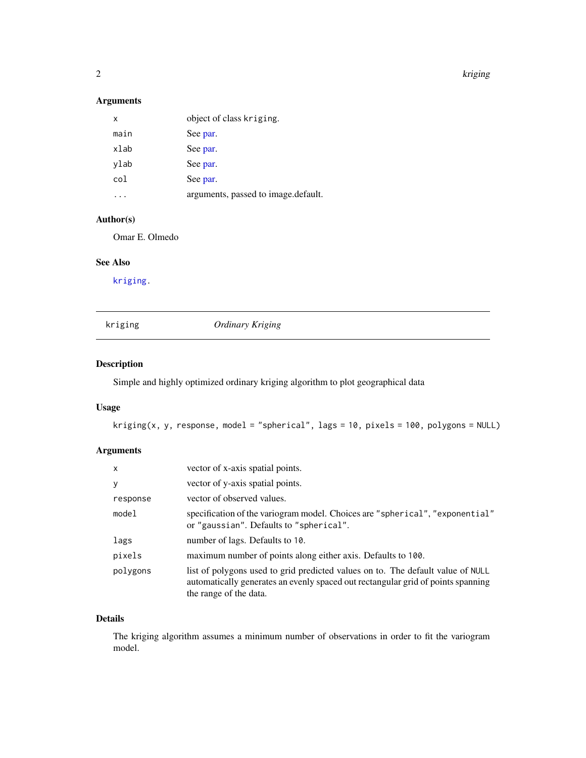<span id="page-1-0"></span>2 kriging terms of the control of the control of the control of the control of the control of the control of the control of the control of the control of the control of the control of the control of the control of the cont

#### Arguments

| x    | object of class kriging.            |
|------|-------------------------------------|
| main | See par.                            |
| xlab | See par.                            |
| ylab | See par.                            |
| col  | See par.                            |
|      | arguments, passed to image.default. |

#### Author(s)

Omar E. Olmedo

#### See Also

[kriging.](#page-1-1)

#### <span id="page-1-1"></span>kriging *Ordinary Kriging*

#### Description

Simple and highly optimized ordinary kriging algorithm to plot geographical data

#### Usage

```
kriging(x, y, response, model = "spherical", lags = 10, pixels = 100, polygons = NULL)
```
#### Arguments

| $\mathsf{x}$ | vector of x-axis spatial points.                                                                                                                                                              |
|--------------|-----------------------------------------------------------------------------------------------------------------------------------------------------------------------------------------------|
| y            | vector of y-axis spatial points.                                                                                                                                                              |
| response     | vector of observed values.                                                                                                                                                                    |
| model        | specification of the variogram model. Choices are "spherical", "exponential"<br>or "gaussian". Defaults to "spherical".                                                                       |
| lags         | number of lags. Defaults to 10.                                                                                                                                                               |
| pixels       | maximum number of points along either axis. Defaults to 100.                                                                                                                                  |
| polygons     | list of polygons used to grid predicted values on to. The default value of NULL<br>automatically generates an evenly spaced out rectangular grid of points spanning<br>the range of the data. |

### Details

The kriging algorithm assumes a minimum number of observations in order to fit the variogram model.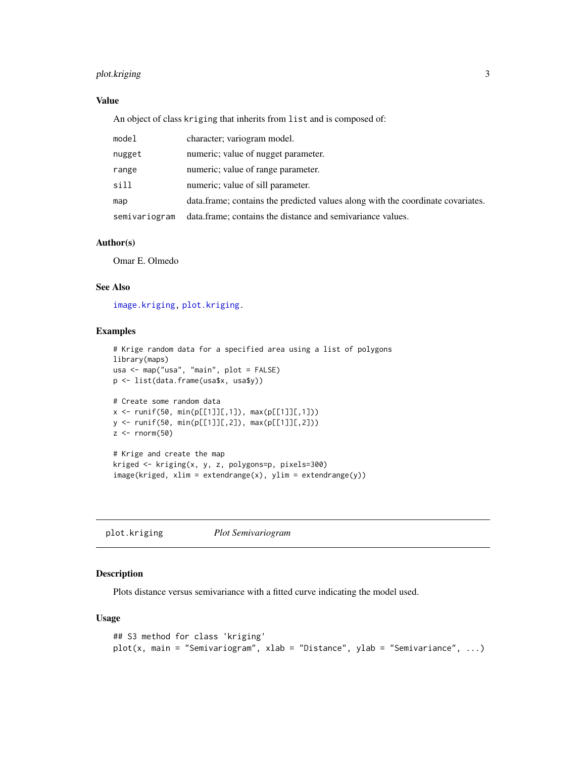#### <span id="page-2-0"></span>plot.kriging 3

#### Value

An object of class kriging that inherits from list and is composed of:

| model         | character; variogram model.                                                      |
|---------------|----------------------------------------------------------------------------------|
| nugget        | numeric; value of nugget parameter.                                              |
| range         | numeric; value of range parameter.                                               |
| sill          | numeric; value of sill parameter.                                                |
| map           | data. frame; contains the predicted values along with the coordinate covariates. |
| semivariogram | data.frame; contains the distance and semivariance values.                       |

#### Author(s)

Omar E. Olmedo

#### See Also

[image.kriging,](#page-0-2) [plot.kriging.](#page-2-1)

#### Examples

```
# Krige random data for a specified area using a list of polygons
library(maps)
usa <- map("usa", "main", plot = FALSE)
p <- list(data.frame(usa$x, usa$y))
# Create some random data
x \le runif(50, min(p[[1]][,1]), max(p[[1]][,1]))
y <- runif(50, min(p[[1]][,2]), max(p[[1]][,2]))
z <- rnorm(50)# Krige and create the map
kriged <- kriging(x, y, z, polygons=p, pixels=300)
image(kriged, xlim = extendedrange(x), ylim = extended(p))
```
<span id="page-2-1"></span>plot.kriging *Plot Semivariogram*

#### Description

Plots distance versus semivariance with a fitted curve indicating the model used.

#### Usage

```
## S3 method for class 'kriging'
plot(x, main = "Semivariogram", xlab = "Distance", ylab = "Semivariance", ...)
```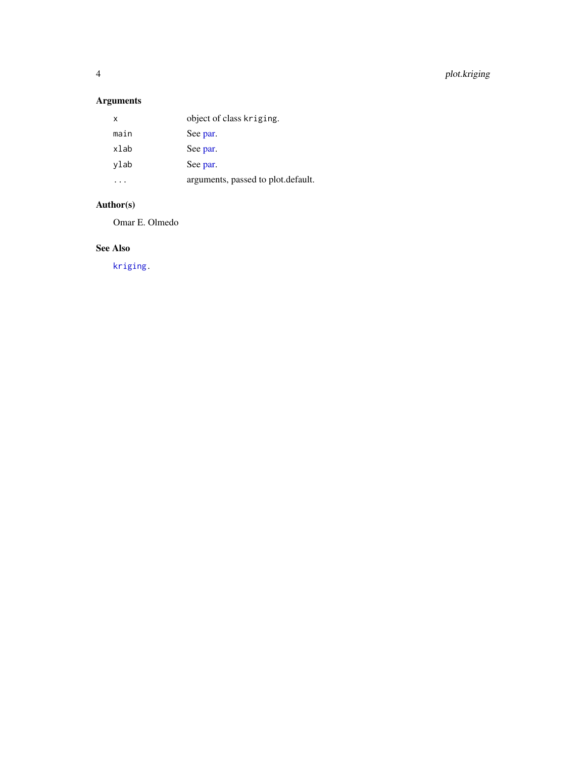<span id="page-3-0"></span>4 plot.kriging

## Arguments

| x    | object of class kriging.           |
|------|------------------------------------|
| main | See par.                           |
| xlab | See par.                           |
| ylab | See par.                           |
|      | arguments, passed to plot.default. |

#### Author(s)

Omar E. Olmedo

#### See Also

[kriging.](#page-1-1)